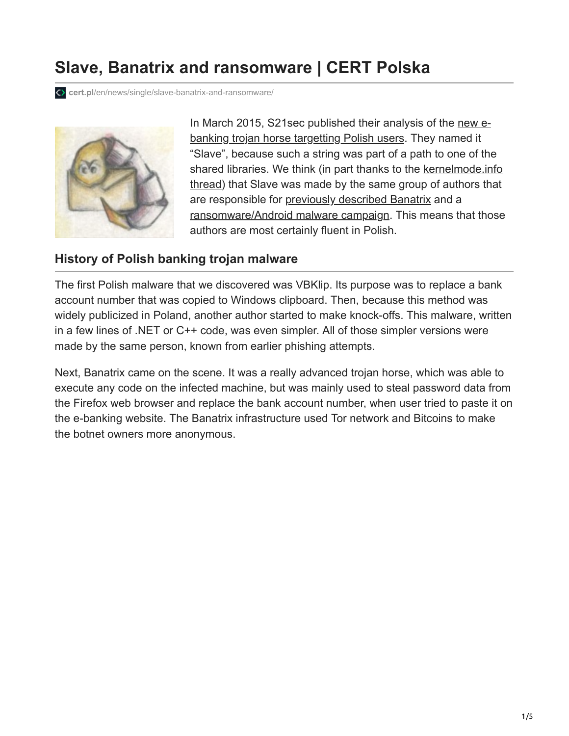# **Slave, Banatrix and ransomware | CERT Polska**

**cert.pl**[/en/news/single/slave-banatrix-and-ransomware/](https://www.cert.pl/en/news/single/slave-banatrix-and-ransomware/)



[In March 2015, S21sec published their analysis of the new e](http://securityblog.s21sec.com/2015/03/new-banker-slave-hitting-polish-banks.html)banking trojan horse targetting Polish users. They named it "Slave", because such a string was part of a path to one of the [shared libraries. We think \(in part thanks to the kernelmode.info](http://www.kernelmode.info/forum/viewtopic.php?f=16&t=3786) thread) that Slave was made by the same group of authors that are responsible for [previously described Banatrix](http://www.cert.pl/news/9565) and a [ransomware/Android malware campaign](http://www.cert.pl/news/10180). This means that those authors are most certainly fluent in Polish.

#### **History of Polish banking trojan malware**

The first Polish malware that we discovered was VBKlip. Its purpose was to replace a bank account number that was copied to Windows clipboard. Then, because this method was widely publicized in Poland, another author started to make knock-offs. This malware, written in a few lines of .NET or C++ code, was even simpler. All of those simpler versions were made by the same person, known from earlier phishing attempts.

Next, Banatrix came on the scene. It was a really advanced trojan horse, which was able to execute any code on the infected machine, but was mainly used to steal password data from the Firefox web browser and replace the bank account number, when user tried to paste it on the e-banking website. The Banatrix infrastructure used Tor network and Bitcoins to make the botnet owners more anonymous.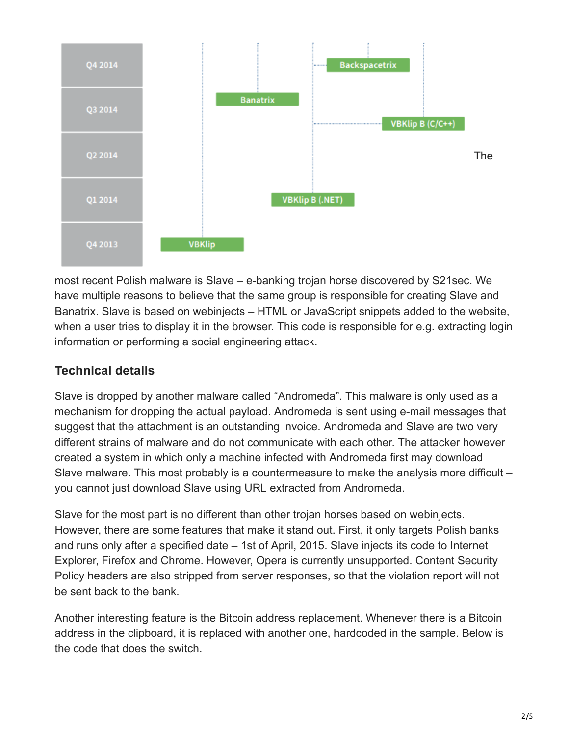

most recent Polish malware is Slave – e-banking trojan horse discovered by S21sec. We have multiple reasons to believe that the same group is responsible for creating Slave and Banatrix. Slave is based on webinjects – HTML or JavaScript snippets added to the website, when a user tries to display it in the browser. This code is responsible for e.g. extracting login information or performing a social engineering attack.

# **Technical details**

Slave is dropped by another malware called "Andromeda". This malware is only used as a mechanism for dropping the actual payload. Andromeda is sent using e-mail messages that suggest that the attachment is an outstanding invoice. Andromeda and Slave are two very different strains of malware and do not communicate with each other. The attacker however created a system in which only a machine infected with Andromeda first may download Slave malware. This most probably is a countermeasure to make the analysis more difficult – you cannot just download Slave using URL extracted from Andromeda.

Slave for the most part is no different than other trojan horses based on webinjects. However, there are some features that make it stand out. First, it only targets Polish banks and runs only after a specified date – 1st of April, 2015. Slave injects its code to Internet Explorer, Firefox and Chrome. However, Opera is currently unsupported. Content Security Policy headers are also stripped from server responses, so that the violation report will not be sent back to the bank.

Another interesting feature is the Bitcoin address replacement. Whenever there is a Bitcoin address in the clipboard, it is replaced with another one, hardcoded in the sample. Below is the code that does the switch.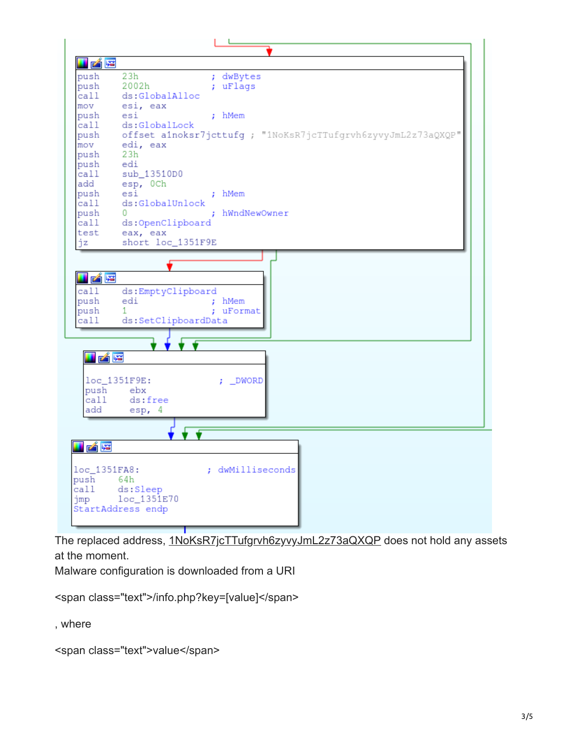

The replaced address, [1NoKsR7jcTTufgrvh6zyvyJmL2z73aQXQP](https://blockchain.info/address/1NoKsR7jcTTufgrvh6zyvyJmL2z73aQXQP) does not hold any assets at the moment.

Malware configuration is downloaded from a URI

```
<span class="text">/info.php?key=[value]</span>
```
, where

<span class="text">value</span>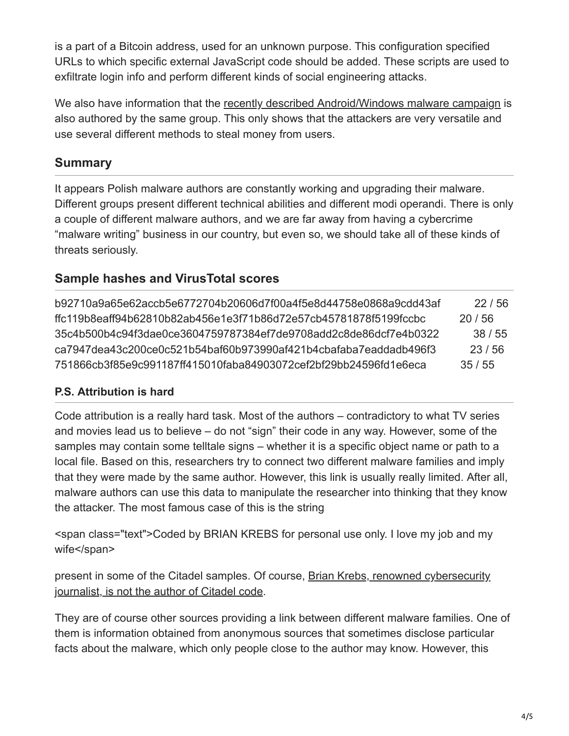is a part of a Bitcoin address, used for an unknown purpose. This configuration specified URLs to which specific external JavaScript code should be added. These scripts are used to exfiltrate login info and perform different kinds of social engineering attacks.

We also have information that the [recently described Android/Windows malware campaign](http://www.cert.pl/news/10180) is also authored by the same group. This only shows that the attackers are very versatile and use several different methods to steal money from users.

## **Summary**

It appears Polish malware authors are constantly working and upgrading their malware. Different groups present different technical abilities and different modi operandi. There is only a couple of different malware authors, and we are far away from having a cybercrime "malware writing" business in our country, but even so, we should take all of these kinds of threats seriously.

### **Sample hashes and VirusTotal scores**

b92710a9a65e62accb5e6772704b20606d7f00a4f5e8d44758e0868a9cdd43af 22 / 56 ffc119b8eaff94b62810b82ab456e1e3f71b86d72e57cb45781878f5199fccbc 20 / 56 35c4b500b4c94f3dae0ce3604759787384ef7de9708add2c8de86dcf7e4b0322 38 / 55 ca7947dea43c200ce0c521b54baf60b973990af421b4cbafaba7eaddadb496f3 23 / 56 751866cb3f85e9c991187ff415010faba84903072cef2bf29bb24596fd1e6eca 35 / 55

### **P.S. Attribution is hard**

Code attribution is a really hard task. Most of the authors – contradictory to what TV series and movies lead us to believe – do not "sign" their code in any way. However, some of the samples may contain some telltale signs – whether it is a specific object name or path to a local file. Based on this, researchers try to connect two different malware families and imply that they were made by the same author. However, this link is usually really limited. After all, malware authors can use this data to manipulate the researcher into thinking that they know the attacker. The most famous case of this is the string

<span class="text">Coded by BRIAN KREBS for personal use only. I love my job and my wife</span>

[present in some of the Citadel samples. Of course, Brian Krebs, renowned cybersecurity](http://krebsonsecurity.com/2013/05/krebs-krebsonsecurity-as-malware-memes/) journalist, is not the author of Citadel code.

They are of course other sources providing a link between different malware families. One of them is information obtained from anonymous sources that sometimes disclose particular facts about the malware, which only people close to the author may know. However, this